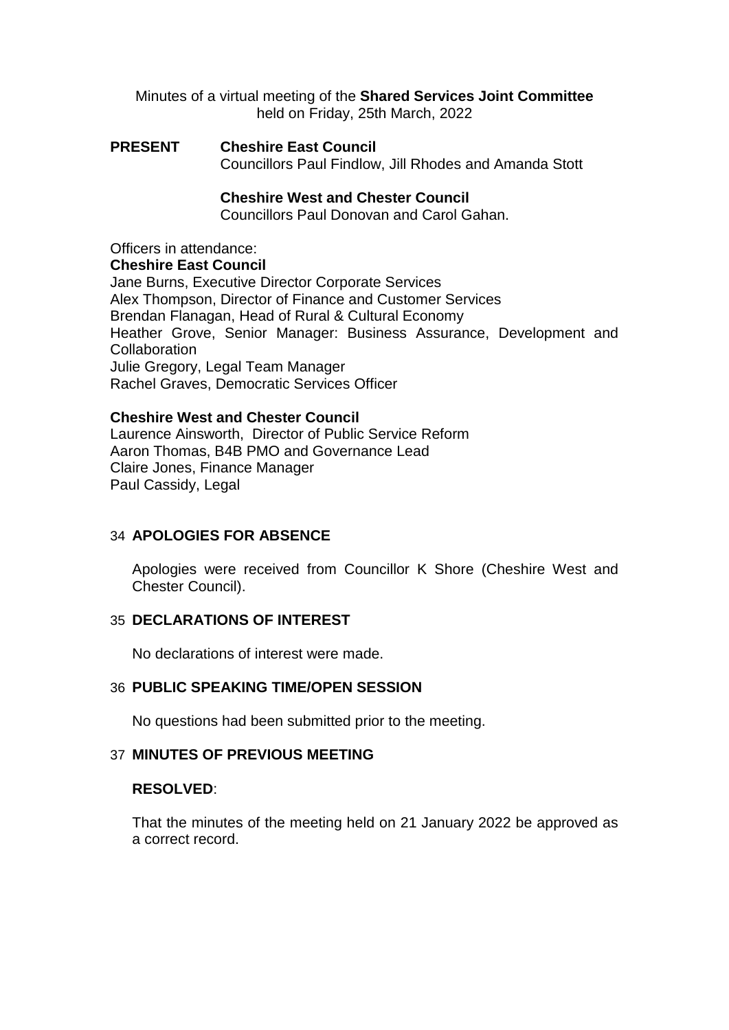Minutes of a virtual meeting of the **Shared Services Joint Committee** held on Friday, 25th March, 2022

**PRESENT Cheshire East Council** Councillors Paul Findlow, Jill Rhodes and Amanda Stott

## **Cheshire West and Chester Council**

Councillors Paul Donovan and Carol Gahan.

Officers in attendance:

#### **Cheshire East Council**

Jane Burns, Executive Director Corporate Services Alex Thompson, Director of Finance and Customer Services Brendan Flanagan, Head of Rural & Cultural Economy Heather Grove, Senior Manager: Business Assurance, Development and **Collaboration** Julie Gregory, Legal Team Manager Rachel Graves, Democratic Services Officer

#### **Cheshire West and Chester Council**

Laurence Ainsworth, Director of Public Service Reform Aaron Thomas, B4B PMO and Governance Lead Claire Jones, Finance Manager Paul Cassidy, Legal

# 34 **APOLOGIES FOR ABSENCE**

Apologies were received from Councillor K Shore (Cheshire West and Chester Council).

### 35 **DECLARATIONS OF INTEREST**

No declarations of interest were made.

#### 36 **PUBLIC SPEAKING TIME/OPEN SESSION**

No questions had been submitted prior to the meeting.

### 37 **MINUTES OF PREVIOUS MEETING**

#### **RESOLVED**:

That the minutes of the meeting held on 21 January 2022 be approved as a correct record.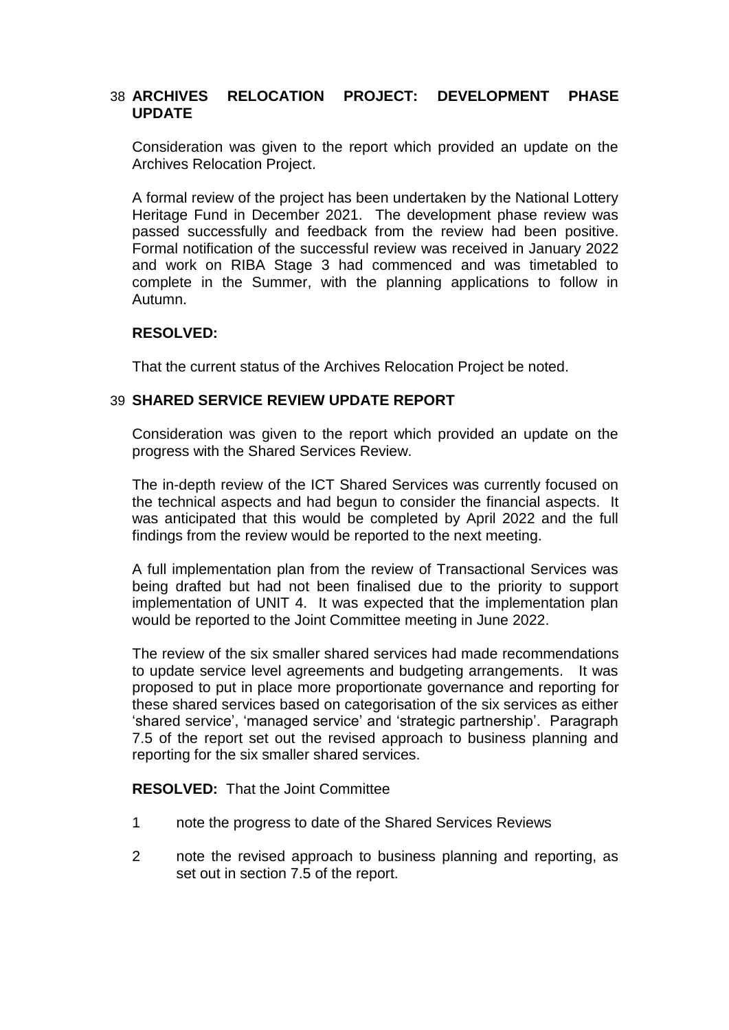## 38 **ARCHIVES RELOCATION PROJECT: DEVELOPMENT PHASE UPDATE**

Consideration was given to the report which provided an update on the Archives Relocation Project.

A formal review of the project has been undertaken by the National Lottery Heritage Fund in December 2021. The development phase review was passed successfully and feedback from the review had been positive. Formal notification of the successful review was received in January 2022 and work on RIBA Stage 3 had commenced and was timetabled to complete in the Summer, with the planning applications to follow in Autumn.

# **RESOLVED:**

That the current status of the Archives Relocation Project be noted.

# 39 **SHARED SERVICE REVIEW UPDATE REPORT**

Consideration was given to the report which provided an update on the progress with the Shared Services Review.

The in-depth review of the ICT Shared Services was currently focused on the technical aspects and had begun to consider the financial aspects. It was anticipated that this would be completed by April 2022 and the full findings from the review would be reported to the next meeting.

A full implementation plan from the review of Transactional Services was being drafted but had not been finalised due to the priority to support implementation of UNIT 4. It was expected that the implementation plan would be reported to the Joint Committee meeting in June 2022.

The review of the six smaller shared services had made recommendations to update service level agreements and budgeting arrangements. It was proposed to put in place more proportionate governance and reporting for these shared services based on categorisation of the six services as either 'shared service', 'managed service' and 'strategic partnership'. Paragraph 7.5 of the report set out the revised approach to business planning and reporting for the six smaller shared services.

**RESOLVED:** That the Joint Committee

- 1 note the progress to date of the Shared Services Reviews
- 2 note the revised approach to business planning and reporting, as set out in section 7.5 of the report.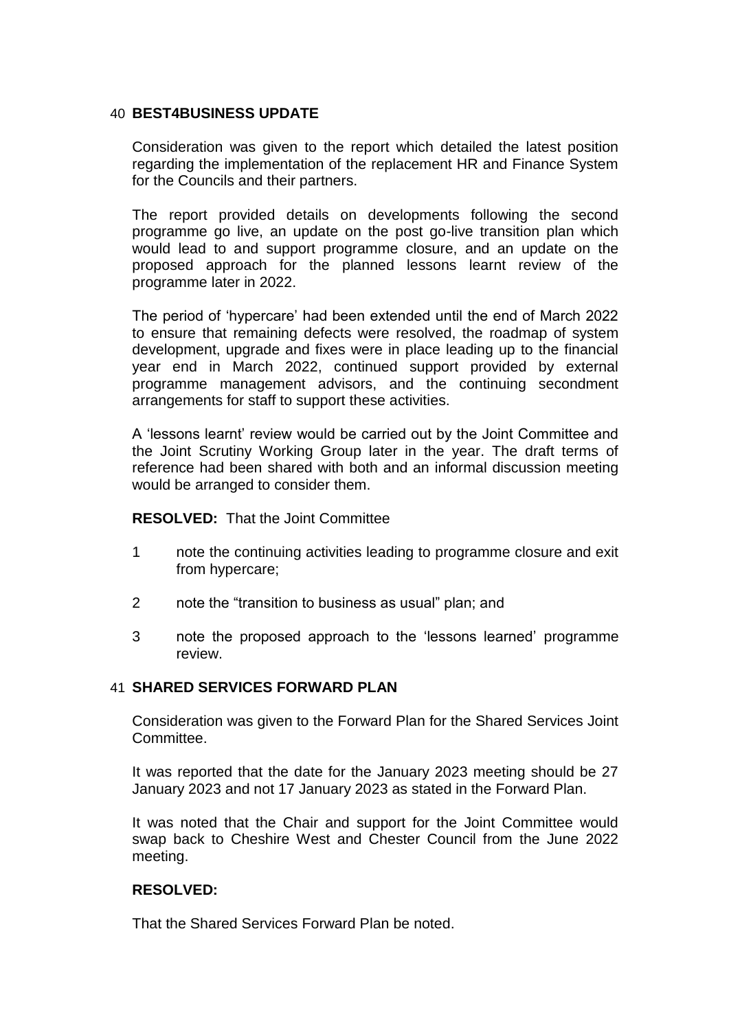## 40 **BEST4BUSINESS UPDATE**

Consideration was given to the report which detailed the latest position regarding the implementation of the replacement HR and Finance System for the Councils and their partners.

The report provided details on developments following the second programme go live, an update on the post go-live transition plan which would lead to and support programme closure, and an update on the proposed approach for the planned lessons learnt review of the programme later in 2022.

The period of 'hypercare' had been extended until the end of March 2022 to ensure that remaining defects were resolved, the roadmap of system development, upgrade and fixes were in place leading up to the financial year end in March 2022, continued support provided by external programme management advisors, and the continuing secondment arrangements for staff to support these activities.

A 'lessons learnt' review would be carried out by the Joint Committee and the Joint Scrutiny Working Group later in the year. The draft terms of reference had been shared with both and an informal discussion meeting would be arranged to consider them.

### **RESOLVED:** That the Joint Committee

- 1 note the continuing activities leading to programme closure and exit from hypercare;
- 2 note the "transition to business as usual" plan; and
- 3 note the proposed approach to the 'lessons learned' programme review.

### 41 **SHARED SERVICES FORWARD PLAN**

Consideration was given to the Forward Plan for the Shared Services Joint Committee.

It was reported that the date for the January 2023 meeting should be 27 January 2023 and not 17 January 2023 as stated in the Forward Plan.

It was noted that the Chair and support for the Joint Committee would swap back to Cheshire West and Chester Council from the June 2022 meeting.

## **RESOLVED:**

That the Shared Services Forward Plan be noted.